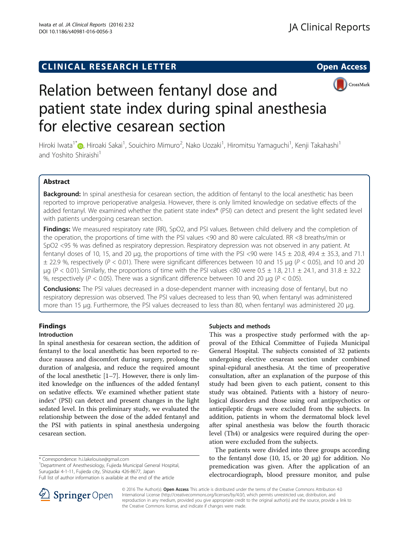# **CLINICAL RESEARCH LETTER CLINICAL RESEARCH LETTER Open Access**



# Relation between fentanyl dose and patient state index during spinal anesthesia for elective cesarean section

Hiroki Iwata<sup>1\*</sup>�, Hiroaki Sakai<sup>1</sup>, Souichiro Mimuro<sup>2</sup>, Nako Uozaki<sup>1</sup>, Hiromitsu Yamaguchi<sup>1</sup>, Kenji Takahashi<sup>1</sup> and Yoshito Shiraishi<sup>1</sup>

# Abstract

Background: In spinal anesthesia for cesarean section, the addition of fentanyl to the local anesthetic has been reported to improve perioperative analgesia. However, there is only limited knowledge on sedative effects of the added fentanyl. We examined whether the patient state index® (PSI) can detect and present the light sedated level with patients undergoing cesarean section.

Findings: We measured respiratory rate (RR), SpO2, and PSI values. Between child delivery and the completion of the operation, the proportions of time with the PSI values <90 and 80 were calculated. RR <8 breaths/min or SpO2 <95 % was defined as respiratory depression. Respiratory depression was not observed in any patient. At fentanyl doses of 10, 15, and 20 µg, the proportions of time with the PSI <90 were  $14.5 \pm 20.8$ , 49.4  $\pm$  35.3, and 71.1  $\pm$  22.9 %, respectively (P < 0.01). There were significant differences between 10 and 15 µg (P < 0.05), and 10 and 20 μg  $(P < 0.01)$ . Similarly, the proportions of time with the PSI values <80 were 0.5  $\pm$  1.8, 21.1  $\pm$  24.1, and 31.8  $\pm$  32.2 %, respectively ( $P < 0.05$ ). There was a significant difference between 10 and 20 µg ( $P < 0.05$ ).

**Conclusions:** The PSI values decreased in a dose-dependent manner with increasing dose of fentanyl, but no respiratory depression was observed. The PSI values decreased to less than 90, when fentanyl was administered more than 15 μg. Furthermore, the PSI values decreased to less than 80, when fentanyl was administered 20 μg.

# Findings Introduction

In spinal anesthesia for cesarean section, the addition of fentanyl to the local anesthetic has been reported to reduce nausea and discomfort during surgery, prolong the duration of analgesia, and reduce the required amount of the local anesthetic [[1](#page-3-0)–[7](#page-3-0)]. However, there is only limited knowledge on the influences of the added fentanyl on sedative effects. We examined whether patient state index® (PSI) can detect and present changes in the light sedated level. In this preliminary study, we evaluated the relationship between the dose of the added fentanyl and the PSI with patients in spinal anesthesia undergoing cesarean section.

\* Correspondence: [h.i.lakelouise@gmail.com](mailto:h.i.lakelouise@gmail.com) <sup>1</sup>

Department of Anesthesiology, Fujieda Municipal General Hospital, Surugadai 4-1-11, Fujieda city, Shizuoka 426-8677, Japan



This was a prospective study performed with the approval of the Ethical Committee of Fujieda Municipal General Hospital. The subjects consisted of 32 patients undergoing elective cesarean section under combined spinal-epidural anesthesia. At the time of preoperative consultation, after an explanation of the purpose of this study had been given to each patient, consent to this study was obtained. Patients with a history of neurological disorders and those using oral antipsychotics or antiepileptic drugs were excluded from the subjects. In addition, patients in whom the dermatomal block level after spinal anesthesia was below the fourth thoracic level (Th4) or analgesics were required during the operation were excluded from the subjects.

The patients were divided into three groups according to the fentanyl dose (10, 15, or 20 μg) for addition. No premedication was given. After the application of an electrocardiograph, blood pressure monitor, and pulse



© 2016 The Author(s). Open Access This article is distributed under the terms of the Creative Commons Attribution 4.0 International License ([http://creativecommons.org/licenses/by/4.0/\)](http://creativecommons.org/licenses/by/4.0/), which permits unrestricted use, distribution, and reproduction in any medium, provided you give appropriate credit to the original author(s) and the source, provide a link to the Creative Commons license, and indicate if changes were made.

Full list of author information is available at the end of the article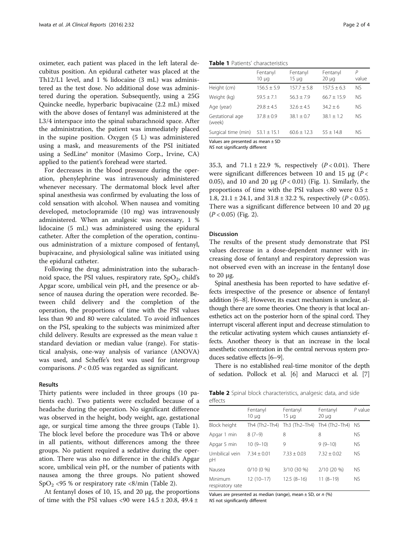oximeter, each patient was placed in the left lateral decubitus position. An epidural catheter was placed at the Th12/L1 level, and 1 % lidocaine (3 mL) was administered as the test dose. No additional dose was administered during the operation. Subsequently, using a 25G Quincke needle, hyperbaric bupivacaine (2.2 mL) mixed with the above doses of fentanyl was administered at the L3/4 interspace into the spinal subarachnoid space. After the administration, the patient was immediately placed in the supine position. Oxygen (5 L) was administered using a mask, and measurements of the PSI initiated using a SedLine® monitor (Masimo Corp., Irvine, CA) applied to the patient's forehead were started.

For decreases in the blood pressure during the operation, phenylephrine was intravenously administered whenever necessary. The dermatomal block level after spinal anesthesia was confirmed by evaluating the loss of cold sensation with alcohol. When nausea and vomiting developed, metoclopramide (10 mg) was intravenously administered. When an analgesic was necessary, 1 % lidocaine (5 mL) was administered using the epidural catheter. After the completion of the operation, continuous administration of a mixture composed of fentanyl, bupivacaine, and physiological saline was initiated using the epidural catheter.

Following the drug administration into the subarachnoid space, the PSI values, respiratory rate,  $SpO<sub>2</sub>$ , child's Apgar score, umbilical vein pH, and the presence or absence of nausea during the operation were recorded. Between child delivery and the completion of the operation, the proportions of time with the PSI values less than 90 and 80 were calculated. To avoid influences on the PSI, speaking to the subjects was minimized after child delivery. Results are expressed as the mean value ± standard deviation or median value (range). For statistical analysis, one-way analysis of variance (ANOVA) was used, and Scheffe's test was used for intergroup comparisons.  $P < 0.05$  was regarded as significant.

## Results

Thirty patients were included in three groups (10 patients each). Two patients were excluded because of a headache during the operation. No significant difference was observed in the height, body weight, age, gestational age, or surgical time among the three groups (Table 1). The block level before the procedure was Th4 or above in all patients, without differences among the three groups. No patient required a sedative during the operation. There was also no difference in the child's Apgar score, umbilical vein pH, or the number of patients with nausea among the three groups. No patient showed  $SpO<sub>2</sub> < 95$  % or respiratory rate <8/min (Table 2).

At fentanyl doses of 10, 15, and 20 μg, the proportions of time with the PSI values <90 were  $14.5 \pm 20.8$ ,  $49.4 \pm$ 

Table 1 Patients' characteristics

|                                       | Fentanyl<br>$10 \mu q$ | Fentanyl<br>15 µg | Fentanyl<br>$20 \mu q$ | P<br>value |  |
|---------------------------------------|------------------------|-------------------|------------------------|------------|--|
| Height (cm)                           | $156.5 + 5.9$          | $157.7 + 5.8$     | $157.5 + 6.3$          | <b>NS</b>  |  |
| Weight (kg)                           | $59.5 \pm 7.1$         | $56.3 + 7.9$      | $66.7 \pm 15.9$        | NS.        |  |
| Age (year)                            | $79.8 + 4.5$           | $32.6 + 4.5$      | $34.2 + 6$             | NS.        |  |
| Gestational age<br>(week)             | $37.8 \pm 0.9$         | $38.1 + 0.7$      | $38.1 \pm 1.2$         | NS.        |  |
| Surgical time (min)                   | $53.1 \pm 15.1$        | $60.6 \pm 12.3$   | $55 + 14.8$            | NS.        |  |
| Values are presented as mean $\pm$ SD |                        |                   |                        |            |  |

NS not significantly different

35.3, and  $71.1 \pm 22.9$  %, respectively ( $P < 0.01$ ). There were significant differences between 10 and 15 μg ( $P \lt \theta$ 0.05), and [1](#page-2-0)0 and 20  $\mu$ g (P < 0.01) (Fig. 1). Similarly, the proportions of time with the PSI values <80 were  $0.5 \pm$ 1.8, 21.1 ± 24.1, and  $31.8 \pm 32.2$  %, respectively ( $P < 0.05$ ). There was a significant difference between 10 and 20 μg  $(P < 0.05)$  (Fig. [2](#page-2-0)).

# Discussion

The results of the present study demonstrate that PSI values decrease in a dose-dependent manner with increasing dose of fentanyl and respiratory depression was not observed even with an increase in the fentanyl dose to 20 μg.

Spinal anesthesia has been reported to have sedative effects irrespective of the presence or absence of fentanyl addition [[6](#page-3-0)–[8\]](#page-3-0). However, its exact mechanism is unclear, although there are some theories. One theory is that local anesthetics act on the posterior horn of the spinal cord. They interrupt visceral afferent input and decrease stimulation to the reticular activating system which causes antianxiety effects. Another theory is that an increase in the local anesthetic concentration in the central nervous system produces sedative effects [\[6](#page-3-0)–[9\]](#page-3-0).

There is no established real-time monitor of the depth of sedation. Pollock et al. [\[6](#page-3-0)] and Marucci et al. [[7](#page-3-0)]

Table 2 Spinal block characteristics, analgesic data, and side effects

|                             | Fentanyl<br>$10 \mu q$ | Fentanyl<br>$15 \mu q$ | Fentanyl<br>$20 \mu q$ | $P$ value |
|-----------------------------|------------------------|------------------------|------------------------|-----------|
| Block height                | Th4 (Th2–Th4)          | Th3 (Th2–Th4)          | Th4 (Th2-Th4)          | <b>NS</b> |
| Apgar 1 min                 | $8(7-9)$               | 8                      | 8                      | <b>NS</b> |
| Apgar 5 min                 | $10(9-10)$             | 9                      | $9(9-10)$              | <b>NS</b> |
| Umbilical vein<br>рH        | $7.34 + 0.01$          | $7.33 + 0.03$          | $7.32 + 0.02$          | NS.       |
| Nausea                      | $0/10(0\%)$            | 3/10 (30 %)            | 2/10 (20 %)            | <b>NS</b> |
| Minimum<br>respiratory rate | $12(10-17)$            | $12.5(8-16)$           | $11(8-19)$             | <b>NS</b> |

Values are presented as median (range), mean  $\pm$  SD, or n (%) NS not significantly different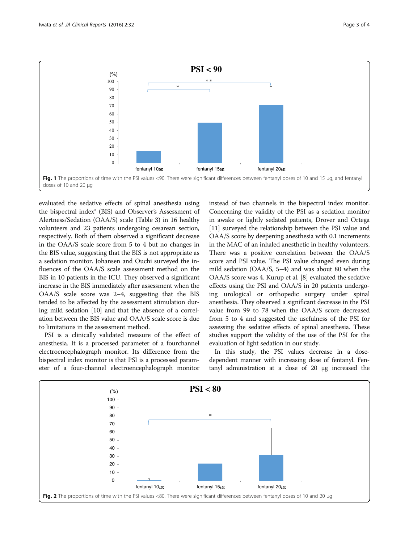<span id="page-2-0"></span>

evaluated the sedative effects of spinal anesthesia using the bispectral index® (BIS) and Observer's Assessment of Alertness/Sedation (OAA/S) scale (Table [3\)](#page-3-0) in 16 healthy volunteers and 23 patients undergoing cesarean section, respectively. Both of them observed a significant decrease in the OAA/S scale score from 5 to 4 but no changes in the BIS value, suggesting that the BIS is not appropriate as a sedation monitor. Johansen and Ouchi surveyed the influences of the OAA/S scale assessment method on the BIS in 10 patients in the ICU. They observed a significant increase in the BIS immediately after assessment when the OAA/S scale score was 2–4, suggesting that the BIS tended to be affected by the assessment stimulation during mild sedation [[10\]](#page-3-0) and that the absence of a correlation between the BIS value and OAA/S scale score is due to limitations in the assessment method.

PSI is a clinically validated measure of the effect of anesthesia. It is a processed parameter of a fourchannel electroencephalograph monitor. Its difference from the bispectral index monitor is that PSI is a processed parameter of a four-channel electroencephalograph monitor instead of two channels in the bispectral index monitor. Concerning the validity of the PSI as a sedation monitor in awake or lightly sedated patients, Drover and Ortega [[11](#page-3-0)] surveyed the relationship between the PSI value and OAA/S score by deepening anesthesia with 0.1 increments in the MAC of an inhaled anesthetic in healthy volunteers. There was a positive correlation between the OAA/S score and PSI value. The PSI value changed even during mild sedation (OAA/S, 5–4) and was about 80 when the OAA/S score was 4. Kurup et al. [[8](#page-3-0)] evaluated the sedative effects using the PSI and OAA/S in 20 patients undergoing urological or orthopedic surgery under spinal anesthesia. They observed a significant decrease in the PSI value from 99 to 78 when the OAA/S score decreased from 5 to 4 and suggested the usefulness of the PSI for assessing the sedative effects of spinal anesthesia. These studies support the validity of the use of the PSI for the evaluation of light sedation in our study.

In this study, the PSI values decrease in a dosedependent manner with increasing dose of fentanyl. Fentanyl administration at a dose of 20 μg increased the